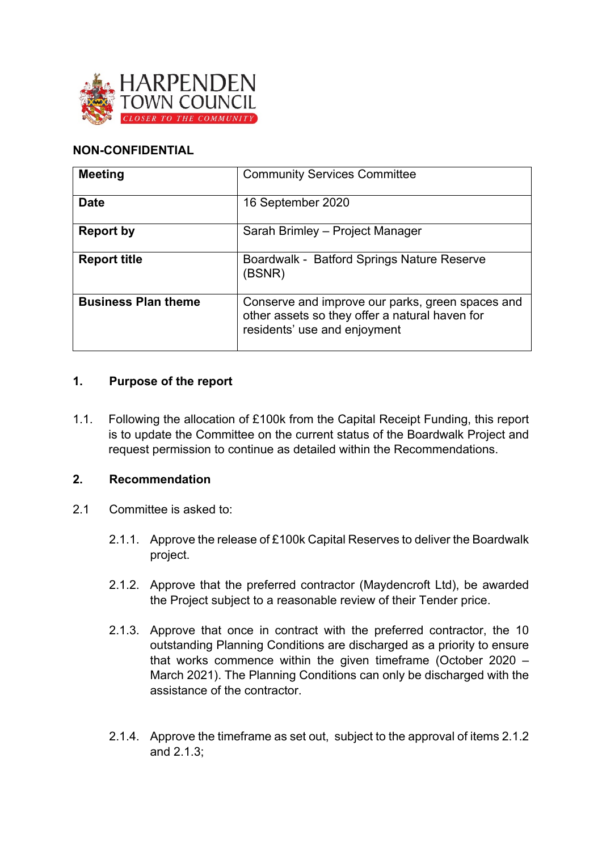

# **NON-CONFIDENTIAL**

| <b>Meeting</b>             | <b>Community Services Committee</b>                                                                                                |
|----------------------------|------------------------------------------------------------------------------------------------------------------------------------|
| <b>Date</b>                | 16 September 2020                                                                                                                  |
| <b>Report by</b>           | Sarah Brimley - Project Manager                                                                                                    |
| <b>Report title</b>        | Boardwalk - Batford Springs Nature Reserve<br>(BSNR)                                                                               |
| <b>Business Plan theme</b> | Conserve and improve our parks, green spaces and<br>other assets so they offer a natural haven for<br>residents' use and enjoyment |

### **1. Purpose of the report**

1.1. Following the allocation of £100k from the Capital Receipt Funding, this report is to update the Committee on the current status of the Boardwalk Project and request permission to continue as detailed within the Recommendations.

#### **2. Recommendation**

- 2.1 Committee is asked to:
	- 2.1.1. Approve the release of £100k Capital Reserves to deliver the Boardwalk project.
	- 2.1.2. Approve that the preferred contractor (Maydencroft Ltd), be awarded the Project subject to a reasonable review of their Tender price.
	- 2.1.3. Approve that once in contract with the preferred contractor, the 10 outstanding Planning Conditions are discharged as a priority to ensure that works commence within the given timeframe (October 2020 – March 2021). The Planning Conditions can only be discharged with the assistance of the contractor.
	- 2.1.4. Approve the timeframe as set out, subject to the approval of items 2.1.2 and 2.1.3;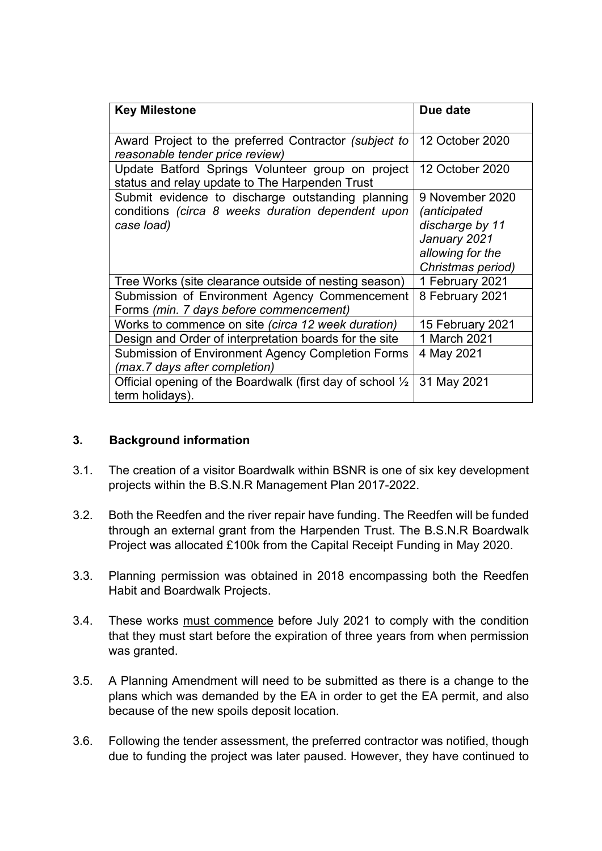| <b>Key Milestone</b>                                                                                                 | Due date                                                                                                           |
|----------------------------------------------------------------------------------------------------------------------|--------------------------------------------------------------------------------------------------------------------|
| Award Project to the preferred Contractor (subject to<br>reasonable tender price review)                             | 12 October 2020                                                                                                    |
| Update Batford Springs Volunteer group on project<br>status and relay update to The Harpenden Trust                  | 12 October 2020                                                                                                    |
| Submit evidence to discharge outstanding planning<br>conditions (circa 8 weeks duration dependent upon<br>case load) | 9 November 2020<br><i>(anticipated</i><br>discharge by 11<br>January 2021<br>allowing for the<br>Christmas period) |
| Tree Works (site clearance outside of nesting season)                                                                | 1 February 2021                                                                                                    |
| Submission of Environment Agency Commencement<br>Forms (min. 7 days before commencement)                             | 8 February 2021                                                                                                    |
| Works to commence on site (circa 12 week duration)                                                                   | 15 February 2021                                                                                                   |
| Design and Order of interpretation boards for the site                                                               | 1 March 2021                                                                                                       |
| <b>Submission of Environment Agency Completion Forms</b><br>(max.7 days after completion)                            | 4 May 2021                                                                                                         |
| Official opening of the Boardwalk (first day of school 1/2<br>term holidays).                                        | 31 May 2021                                                                                                        |

# **3. Background information**

- 3.1. The creation of a visitor Boardwalk within BSNR is one of six key development projects within the B.S.N.R Management Plan 2017-2022.
- 3.2. Both the Reedfen and the river repair have funding. The Reedfen will be funded through an external grant from the Harpenden Trust. The B.S.N.R Boardwalk Project was allocated £100k from the Capital Receipt Funding in May 2020.
- 3.3. Planning permission was obtained in 2018 encompassing both the Reedfen Habit and Boardwalk Projects.
- 3.4. These works must commence before July 2021 to comply with the condition that they must start before the expiration of three years from when permission was granted.
- 3.5. A Planning Amendment will need to be submitted as there is a change to the plans which was demanded by the EA in order to get the EA permit, and also because of the new spoils deposit location.
- 3.6. Following the tender assessment, the preferred contractor was notified, though due to funding the project was later paused. However, they have continued to